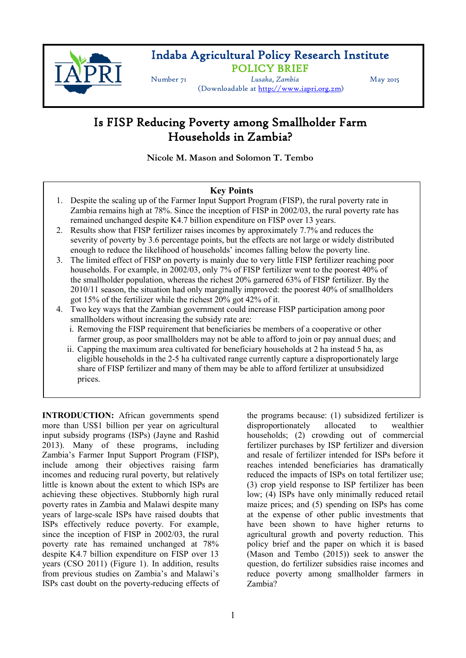

# Indaba Agricultural Policy Research Institute **POLICY BRIEF**<br> *Lusaka*, *Zambia* May 2015

(Downloadable at [http://www.iapri.org.zm\)](http://www.iapri.org.zm)

# Is FISP Reducing Poverty among Smallholder Farm Households in Zambia?

**Nicole M. Mason and Solomon T. Tembo** 

## **Key Points**

- 1. Despite the scaling up of the Farmer Input Support Program (FISP), the rural poverty rate in Zambia remains high at 78%. Since the inception of FISP in 2002/03, the rural poverty rate has remained unchanged despite K4.7 billion expenditure on FISP over 13 years.
- 2. Results show that FISP fertilizer raises incomes by approximately 7.7% and reduces the severity of poverty by 3.6 percentage points, but the effects are not large or widely distributed enough to reduce the likelihood of households' incomes falling below the poverty line.
- 3. The limited effect of FISP on poverty is mainly due to very little FISP fertilizer reaching poor households. For example, in 2002/03, only 7% of FISP fertilizer went to the poorest 40% of the smallholder population, whereas the richest 20% garnered 63% of FISP fertilizer. By the 2010/11 season, the situation had only marginally improved: the poorest 40% of smallholders got 15% of the fertilizer while the richest 20% got 42% of it.
- 4. Two key ways that the Zambian government could increase FISP participation among poor smallholders without increasing the subsidy rate are:
	- i. Removing the FISP requirement that beneficiaries be members of a cooperative or other farmer group, as poor smallholders may not be able to afford to join or pay annual dues; and
	- ii. Capping the maximum area cultivated for beneficiary households at 2 ha instead 5 ha, as eligible households in the 2-5 ha cultivated range currently capture a disproportionately large share of FISP fertilizer and many of them may be able to afford fertilizer at unsubsidized prices.

**INTRODUCTION:** African governments spend more than US\$1 billion per year on agricultural input subsidy programs (ISPs) (Jayne and Rashid 2013). Many of these programs, including Zambia's Farmer Input Support Program (FISP), include among their objectives raising farm incomes and reducing rural poverty, but relatively little is known about the extent to which ISPs are achieving these objectives. Stubbornly high rural poverty rates in Zambia and Malawi despite many years of large-scale ISPs have raised doubts that ISPs effectively reduce poverty. For example, since the inception of FISP in 2002/03, the rural poverty rate has remained unchanged at 78% despite K4.7 billion expenditure on FISP over 13 years (CSO 2011) (Figure 1). In addition, results from previous studies on Zambia's and Malawi's ISPs cast doubt on the poverty-reducing effects of the programs because: (1) subsidized fertilizer is disproportionately allocated to wealthier households; (2) crowding out of commercial fertilizer purchases by ISP fertilizer and diversion and resale of fertilizer intended for ISPs before it reaches intended beneficiaries has dramatically reduced the impacts of ISPs on total fertilizer use; (3) crop yield response to ISP fertilizer has been low; (4) ISPs have only minimally reduced retail maize prices; and (5) spending on ISPs has come at the expense of other public investments that have been shown to have higher returns to agricultural growth and poverty reduction. This policy brief and the paper on which it is based (Mason and Tembo (2015)) seek to answer the question, do fertilizer subsidies raise incomes and reduce poverty among smallholder farmers in Zambia?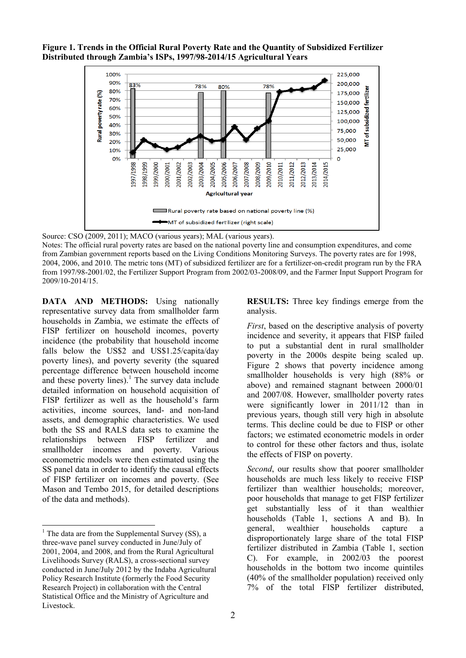**Figure 1. Trends in the Official Rural Poverty Rate and the Quantity of Subsidized Fertilizer Distributed through Zambia's ISPs, 1997/98-2014/15 Agricultural Years**



Source: CSO (2009, 2011); MACO (various years); MAL (various years).

Notes: The official rural poverty rates are based on the national poverty line and consumption expenditures, and come from Zambian government reports based on the Living Conditions Monitoring Surveys. The poverty rates are for 1998, 2004, 2006, and 2010. The metric tons (MT) of subsidized fertilizer are for a fertilizer-on-credit program run by the FRA from 1997/98-2001/02, the Fertilizer Support Program from 2002/03-2008/09, and the Farmer Input Support Program for 2009/10-2014/15.

**DATA AND METHODS:** Using nationally representative survey data from smallholder farm households in Zambia, we estimate the effects of FISP fertilizer on household incomes, poverty incidence (the probability that household income falls below the US\$2 and US\$1.25/capita/day poverty lines), and poverty severity (the squared percentage difference between household income and these poverty lines).<sup>[1](#page-1-0)</sup> The survey data include detailed information on household acquisition of FISP fertilizer as well as the household's farm activities, income sources, land- and non-land assets, and demographic characteristics. We used both the SS and RALS data sets to examine the relationships between FISP fertilizer and relationships smallholder incomes and poverty. Various econometric models were then estimated using the SS panel data in order to identify the causal effects of FISP fertilizer on incomes and poverty. (See Mason and Tembo 2015, for detailed descriptions of the data and methods).

 $\overline{a}$ 

**RESULTS:** Three key findings emerge from the analysis.

*First*, based on the descriptive analysis of poverty incidence and severity, it appears that FISP failed to put a substantial dent in rural smallholder poverty in the 2000s despite being scaled up. Figure 2 shows that poverty incidence among smallholder households is very high (88% or above) and remained stagnant between 2000/01 and 2007/08. However, smallholder poverty rates were significantly lower in 2011/12 than in previous years, though still very high in absolute terms. This decline could be due to FISP or other factors; we estimated econometric models in order to control for these other factors and thus, isolate the effects of FISP on poverty.

*Second*, our results show that poorer smallholder households are much less likely to receive FISP fertilizer than wealthier households; moreover, poor households that manage to get FISP fertilizer get substantially less of it than wealthier households (Table 1, sections A and B). In general, wealthier households capture disproportionately large share of the total FISP fertilizer distributed in Zambia (Table 1, section C). For example, in 2002/03 the poorest households in the bottom two income quintiles (40% of the smallholder population) received only 7% of the total FISP fertilizer distributed,

<span id="page-1-0"></span> $1$  The data are from the Supplemental Survey (SS), a three-wave panel survey conducted in June/July of 2001, 2004, and 2008, and from the Rural Agricultural Livelihoods Survey (RALS), a cross-sectional survey conducted in June/July 2012 by the Indaba Agricultural Policy Research Institute (formerly the Food Security Research Project) in collaboration with the Central Statistical Office and the Ministry of Agriculture and Livestock.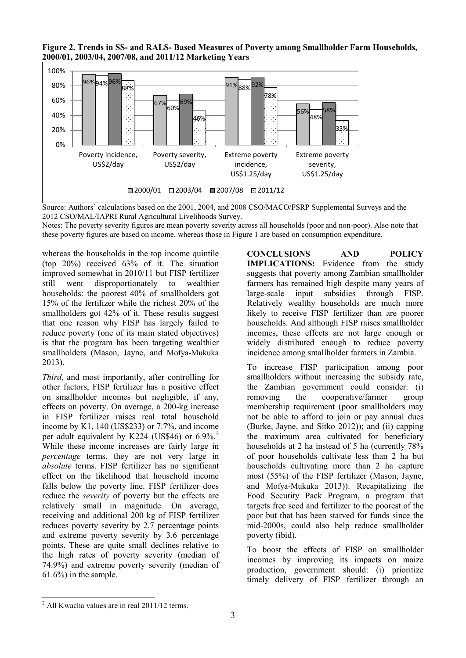**Figure 2. Trends in SS- and RALS- Based Measures of Poverty among Smallholder Farm Households, 2000/01, 2003/04, 2007/08, and 2011/12 Marketing Years**



Source: Authors' calculations based on the 2001, 2004, and 2008 CSO/MACO/FSRP Supplemental Surveys and the 2012 CSO/MAL/IAPRI Rural Agricultural Livelihoods Survey.

Notes: The poverty severity figures are mean poverty severity across all households (poor and non-poor). Also note that these poverty figures are based on income, whereas those in Figure 1 are based on consumption expenditure.

whereas the households in the top income quintile (top 20%) received 63% of it. The situation improved somewhat in 2010/11 but FISP fertilizer still went disproportionately to wealthier households: the poorest 40% of smallholders got 15% of the fertilizer while the richest 20% of the smallholders got 42% of it. These results suggest that one reason why FISP has largely failed to reduce poverty (one of its main stated objectives) is that the program has been targeting wealthier smallholders (Mason, Jayne, and Mofya-Mukuka 2013).

*Third*, and most importantly, after controlling for other factors, FISP fertilizer has a positive effect on smallholder incomes but negligible, if any, effects on poverty. On average, a 200-kg increase in FISP fertilizer raises real total household income by K1, 140 (US\$233) or 7.7%, and income per adult equivalent by K[2](#page-2-0)24 (US\$46) or  $6.9\%$ <sup>2</sup> While these income increases are fairly large in *percentage* terms, they are not very large in *absolute* terms. FISP fertilizer has no significant effect on the likelihood that household income falls below the poverty line. FISP fertilizer does reduce the *severity* of poverty but the effects are relatively small in magnitude. On average, receiving and additional 200 kg of FISP fertilizer reduces poverty severity by 2.7 percentage points and extreme poverty severity by 3.6 percentage points. These are quite small declines relative to the high rates of poverty severity (median of 74.9%) and extreme poverty severity (median of 61.6%) in the sample.

**CONCLUSIONS AND POLICY IMPLICATIONS:** Evidence from the study suggests that poverty among Zambian smallholder farmers has remained high despite many years of large-scale input subsidies through FISP. Relatively wealthy households are much more likely to receive FISP fertilizer than are poorer households. And although FISP raises smallholder incomes, these effects are not large enough or widely distributed enough to reduce poverty incidence among smallholder farmers in Zambia.

To increase FISP participation among poor smallholders without increasing the subsidy rate, the Zambian government could consider: (i) removing the cooperative/farmer group membership requirement (poor smallholders may not be able to afford to join or pay annual dues (Burke, Jayne, and Sitko 2012)); and (ii) capping the maximum area cultivated for beneficiary households at 2 ha instead of 5 ha (currently 78% of poor households cultivate less than 2 ha but households cultivating more than 2 ha capture most (55%) of the FISP fertilizer (Mason, Jayne, and Mofya-Mukuka 2013)). Recapitalizing the Food Security Pack Program, a program that targets free seed and fertilizer to the poorest of the poor but that has been starved for funds since the mid-2000s, could also help reduce smallholder poverty (ibid).

To boost the effects of FISP on smallholder incomes by improving its impacts on maize production, government should: (i) prioritize timely delivery of FISP fertilizer through an

 $\overline{a}$ 

<span id="page-2-0"></span> $^{2}$  All Kwacha values are in real 2011/12 terms.